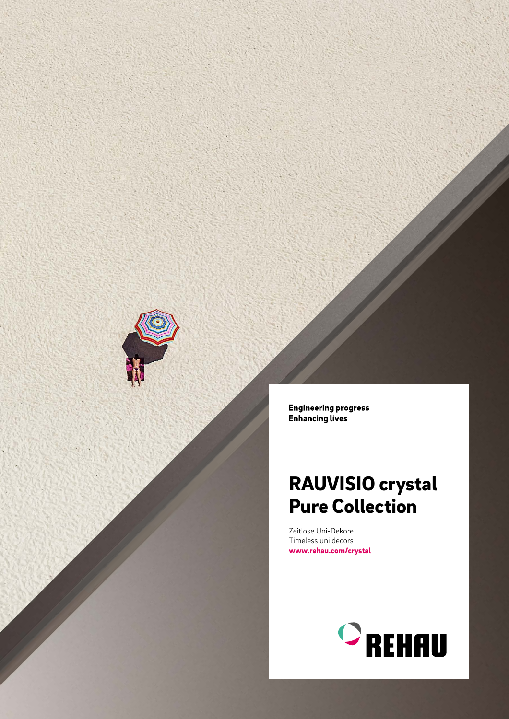

**Engineering progress Enhancing lives** 

# RAUVISIO crystal Pure Collection

Zeitlose Uni-Dekore Timeless uni decors www.rehau.com/crystal

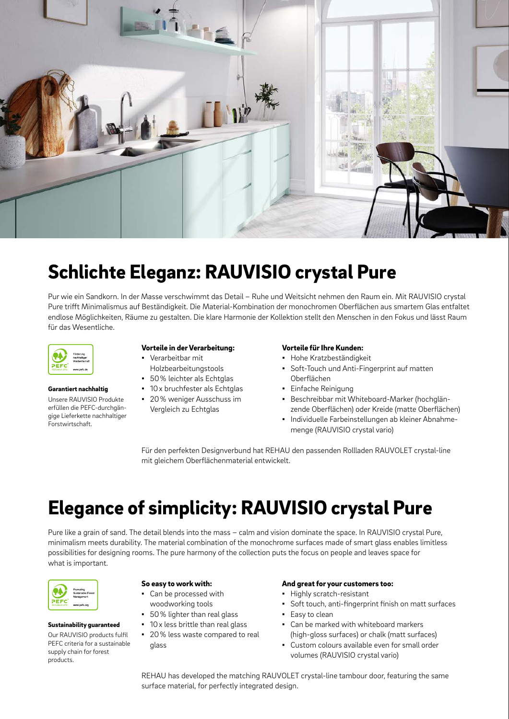

### Schlichte Eleganz: RAUVISIO crystal Pure

Pur wie ein Sandkorn. In der Masse verschwimmt das Detail – Ruhe und Weitsicht nehmen den Raum ein. Mit RAUVISIO crystal Pure trifft Minimalismus auf Beständigkeit. Die Material-Kombination der monochromen Oberflächen aus smartem Glas entfaltet endlose Möglichkeiten, Räume zu gestalten. Die klare Harmonie der Kollektion stellt den Menschen in den Fokus und lässt Raum für das Wesentliche.



Forstwirtschaft.

Garantiert nachhaltig Unsere RAUVISIO Produkte erfüllen die PEFC-durchgängige Lieferkette nachhaltiger

#### Vorteile in der Verarbeitung:

- Verarbeitbar mit Holzbearbeitungstools
- 50% leichter als Echtglas
- 10 x bruchfester als Echtglas
	- 20% weniger Ausschuss im
	- Vergleich zu Echtglas

#### Vorteile für Ihre Kunden:

- Hohe Kratzbeständigkeit
- Soft-Touch und Anti-Fingerprint auf matten Oberflächen
- Einfache Reinigung
- Beschreibbar mit Whiteboard-Marker (hochglänzende Oberflächen) oder Kreide (matte Oberflächen)
- Individuelle Farbeinstellungen ab kleiner Abnahmemenge (RAUVISIO crystal vario)

Für den perfekten Designverbund hat REHAU den passenden Rollladen RAUVOLET crystal-line mit gleichem Oberflächenmaterial entwickelt.

## Elegance of simplicity: RAUVISIO crystal Pure

Pure like a grain of sand. The detail blends into the mass – calm and vision dominate the space. In RAUVISIO crystal Pure, minimalism meets durability. The material combination of the monochrome surfaces made of smart glass enables limitless possibilities for designing rooms. The pure harmony of the collection puts the focus on people and leaves space for what is important.



#### Sustainability guaranteed

Our RAUVISIO products fulfil PEFC criteria for a sustainable supply chain for forest products.

#### So easy to work with:

- Can be processed with woodworking tools
- 50% lighter than real glass
- 10 x less brittle than real glass
- 20% less waste compared to real glass

#### And great for your customers too:

- Highly scratch-resistant
- Soft touch, anti-fingerprint finish on matt surfaces
- Easy to clean
- Can be marked with whiteboard markers (high-gloss surfaces) or chalk (matt surfaces)
- Custom colours available even for small order volumes (RAUVISIO crystal vario)

REHAU has developed the matching RAUVOLET crystal-line tambour door, featuring the same surface material, for perfectly integrated design.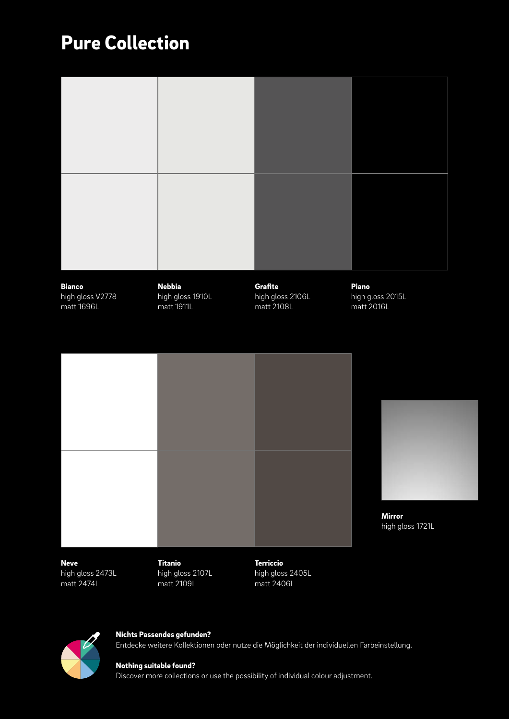## Pure Collection

| <b>Bianco</b><br>high gloss V2778<br>matt 1696L | <b>Nebbia</b><br>high gloss 1910L<br>matt 1911L | Grafite<br>high gloss 2106L<br>matt 2108L | Piano<br>high gloss 2015L<br>matt 2016L |
|-------------------------------------------------|-------------------------------------------------|-------------------------------------------|-----------------------------------------|
|                                                 |                                                 |                                           |                                         |
|                                                 |                                                 |                                           | <b>Mirror</b><br>high gloss 1721L       |
| <b>Neve</b><br>high gloss 2473L                 | <b>Titanio</b><br>high gloss 2107L              | <b>Terriccio</b><br>high gloss 2405L      |                                         |

 $\not\!\!\!D$ 

matt 2109L

high gloss 2405L matt 2406L



matt 2474L

Nichts Passendes gefunden? Entdecke weitere Kollektionen oder nutze die Möglichkeit der individuellen Farbeinstellung.

### Nothing suitable found?

Discover more collections or use the possibility of individual colour adjustment.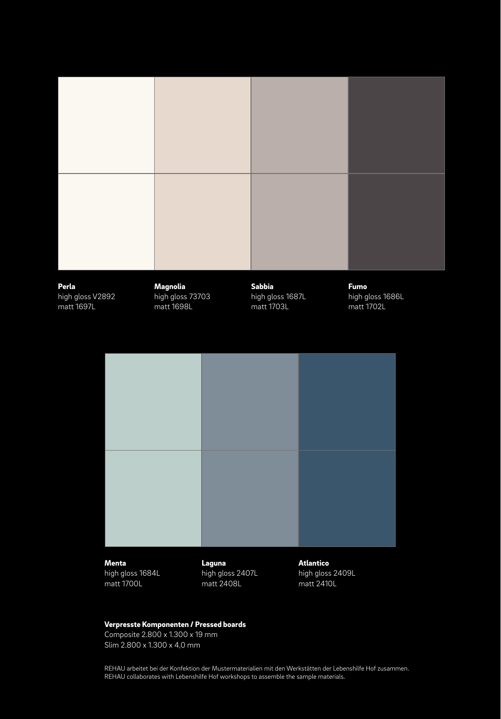

### Verpresste Komponenten / Pressed boards

Composite 2.800 x 1.300 x 19 mm Slim 2.800 x 1.300 x 4,0 mm

REHAU arbeitet bei der Konfektion der Mustermaterialien mit den Werkstätten der Lebenshilfe Hof zusammen. REHAU collaborates with Lebenshilfe Hof workshops to assemble the sample materials.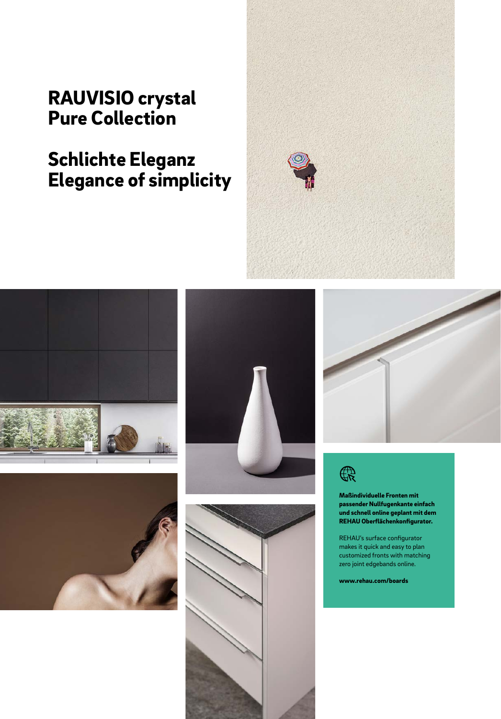### RAUVISIO crystal Pure Collection

## Schlichte Eleganz Elegance of simplicity















Maßindividuelle Fronten mit passender Nullfugenkante einfach und schnell online geplant mit dem REHAU Oberflächenkonfigurator.

REHAU's surface configurator makes it quick and easy to plan customized fronts with matching zero joint edgebands online.

www.rehau.com/boards